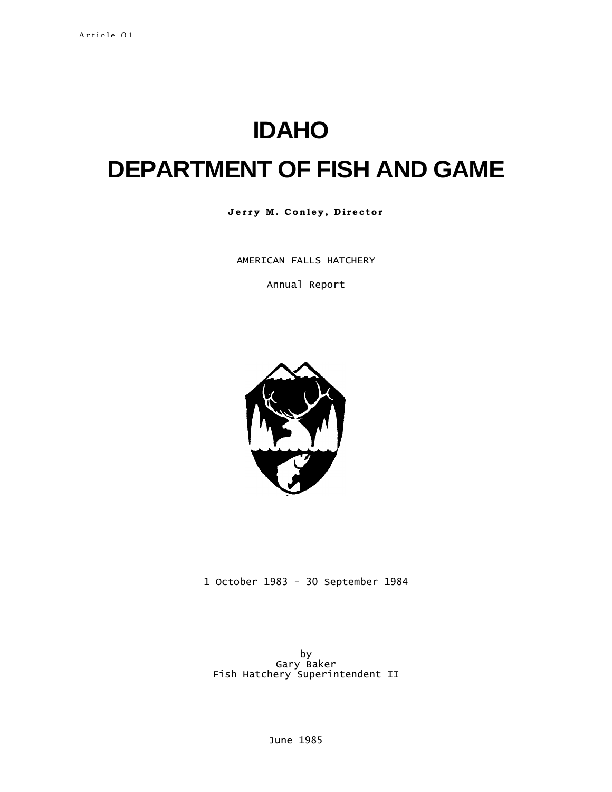# **IDAHO**

# **DEPARTMENT OF FISH AND GAME**

Jerry M. Conley, Director

AMERICAN FALLS HATCHERY

Annual Report



1 October 1983 - 30 September 1984

by Gary Baker Fish Hatchery Superintendent II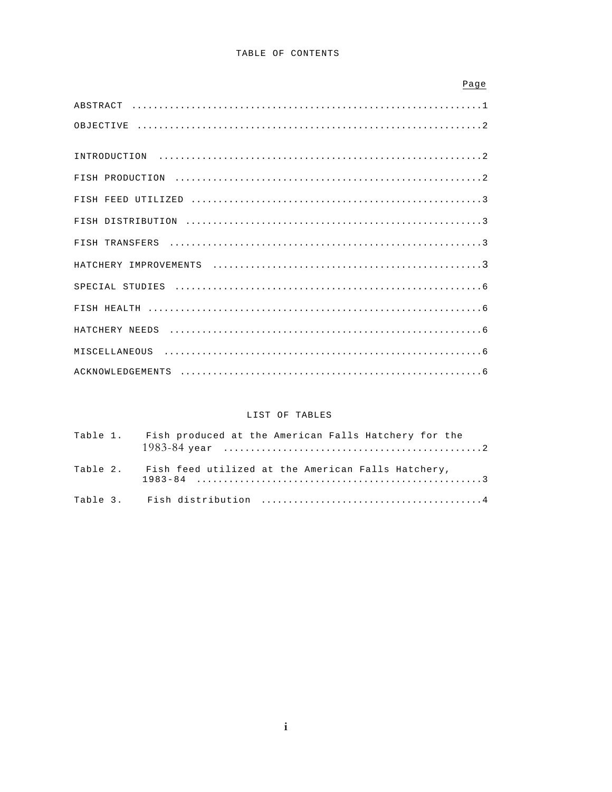| Page             |
|------------------|
| ABSTRACT         |
| OBJECTIVE        |
| INTRODUCTION     |
| FISH PRODUCTION  |
| FISH FEED        |
|                  |
| FISH TRANSFERS   |
| HATCHERY         |
|                  |
| FISH HEALTH      |
|                  |
|                  |
| ACKNOWLEDGEMENTS |

# LIST OF TABLES

|  | Table 1. Fish produced at the American Falls Hatchery for the |
|--|---------------------------------------------------------------|
|  | Table 2. Fish feed utilized at the American Falls Hatchery,   |
|  |                                                               |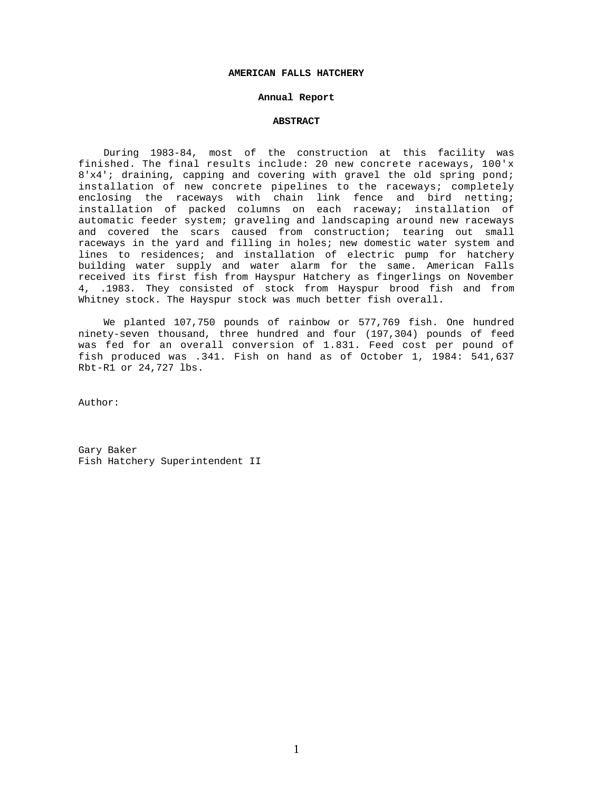#### **AMERICAN FALLS HATCHERY**

# **Annual Report**

# **ABSTRACT**

During 1983-84, most of the construction at this facility was finished. The final results include: 20 new concrete raceways, 100'x 8'x4'; draining, capping and covering with gravel the old spring pond; installation of new concrete pipelines to the raceways; completely enclosing the raceways with chain link fence and bird netting; installation of packed columns on each raceway; installation of automatic feeder system; graveling and landscaping around new raceways and covered the scars caused from construction; tearing out small raceways in the yard and filling in holes; new domestic water system and lines to residences; and installation of electric pump for hatchery building water supply and water alarm for the same. American Falls received its first fish from Hayspur Hatchery as fingerlings on November 4, .1983. They consisted of stock from Hayspur brood fish and from Whitney stock. The Hayspur stock was much better fish overall.

We planted 107,750 pounds of rainbow or 577,769 fish. One hundred ninety-seven thousand, three hundred and four (197,304) pounds of feed was fed for an overall conversion of 1.831. Feed cost per pound of fish produced was .341. Fish on hand as of October 1, 1984: 541,637 Rbt-R1 or 24,727 lbs.

Author:

Gary Baker Fish Hatchery Superintendent II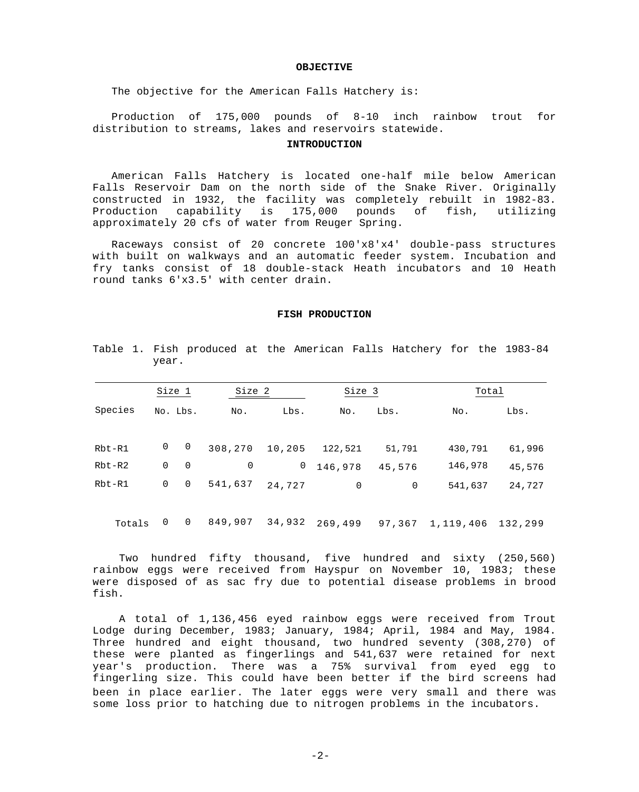# **OBJECTIVE**

The objective for the American Falls Hatchery is:

Production of 175,000 pounds of 8-10 inch rainbow trout for distribution to streams, lakes and reservoirs statewide.

#### **INTRODUCTION**

American Falls Hatchery is located one-half mile below American Falls Reservoir Dam on the north side of the Snake River. Originally constructed in 1932, the facility was completely rebuilt in 1982-83. Production capability is 175,000 pounds of fish, utilizing approximately 20 cfs of water from Reuger Spring.

Raceways consist of 20 concrete 100'x8'x4' double-pass structures with built on walkways and an automatic feeder system. Incubation and fry tanks consist of 18 double-stack Heath incubators and 10 Heath round tanks 6'x3.5' with center drain.

# **FISH PRODUCTION**

|            | Size 1   |                | Size 2  |        | Size 3  |        | Total   |        |
|------------|----------|----------------|---------|--------|---------|--------|---------|--------|
| Species    | No. Lbs. |                | No.     | Lbs.   | No.     | Lbs.   | No.     | Lbs.   |
| Rbt-R1     | 0        | $\overline{0}$ | 308,270 | 10,205 | 122,521 | 51,791 | 430,791 | 61,996 |
| $Rbt-R2$   | 0        | 0              | 0       | 0      | 146,978 | 45,576 | 146,978 | 45,576 |
| $Rbt - R1$ | 0        | 0              | 541,637 | 24,727 | 0       | 0      | 541,637 | 24,727 |

Table 1. Fish produced at the American Falls Hatchery for the 1983-84 year.

Totals 0 0 849,907 34,932 269,499 97,367 1,119,406 132,299

Two hundred fifty thousand, five hundred and sixty (250,560) rainbow eggs were received from Hayspur on November 10, 1983; these were disposed of as sac fry due to potential disease problems in brood fish.

A total of 1,136,456 eyed rainbow eggs were received from Trout Lodge during December, 1983; January, 1984; April, 1984 and May, 1984. Three hundred and eight thousand, two hundred seventy (308,270) of these were planted as fingerlings and 541,637 were retained for next year's production. There was a 75% survival from eyed egg to fingerling size. This could have been better if the bird screens had been in place earlier. The later eggs were very small and there was some loss prior to hatching due to nitrogen problems in the incubators.

 $-2-$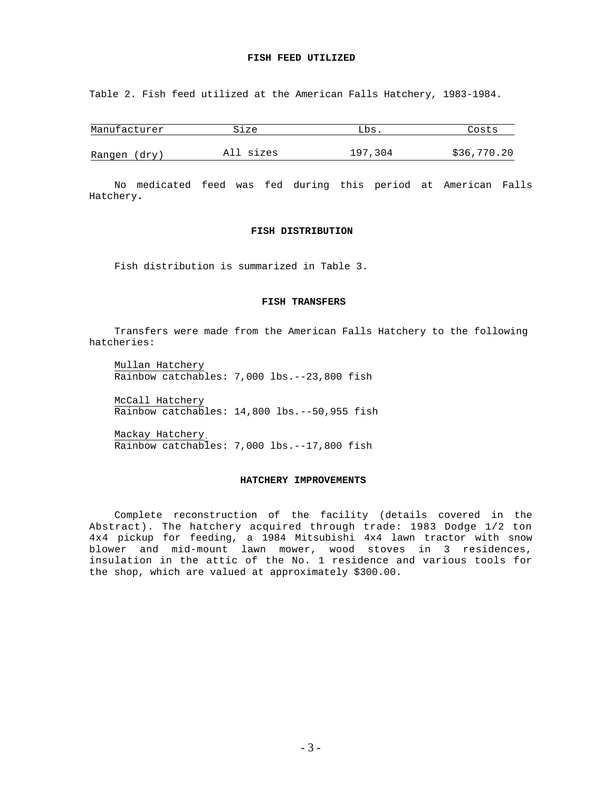# **FISH FEED UTILIZED**

Table 2. Fish feed utilized at the American Falls Hatchery, 1983-1984.

| Manufacturer | Size      | Lbs .   | Costs       |
|--------------|-----------|---------|-------------|
| Rangen (dry) | All sizes | 197,304 | \$36,770.20 |

No medicated feed was fed during this period at American Falls Hatchery**.**

# **FISH DISTRIBUTION**

Fish distribution is summarized in Table 3.

# **FISH TRANSFERS**

Transfers were made from the American Falls Hatchery to the following hatcheries:

Mullan Hatchery Rainbow catchables: 7,000 lbs.--23,800 fish

McCall Hatchery Rainbow catchables: 14,800 lbs.--50,955 fish

Mackay Hatchery. Rainbow catchables: 7,000 lbs.--17,800 fish

#### **HATCHERY IMPROVEMENTS**

Complete reconstruction of the facility (details covered in the Abstract). The hatchery acquired through trade: 1983 Dodge 1/2 ton 4x4 pickup for feeding, a 1984 Mitsubishi 4x4 lawn tractor with snow blower and mid-mount lawn mower, wood stoves in 3 residences, insulation in the attic of the No. 1 residence and various tools for the shop, which are valued at approximately \$300.00.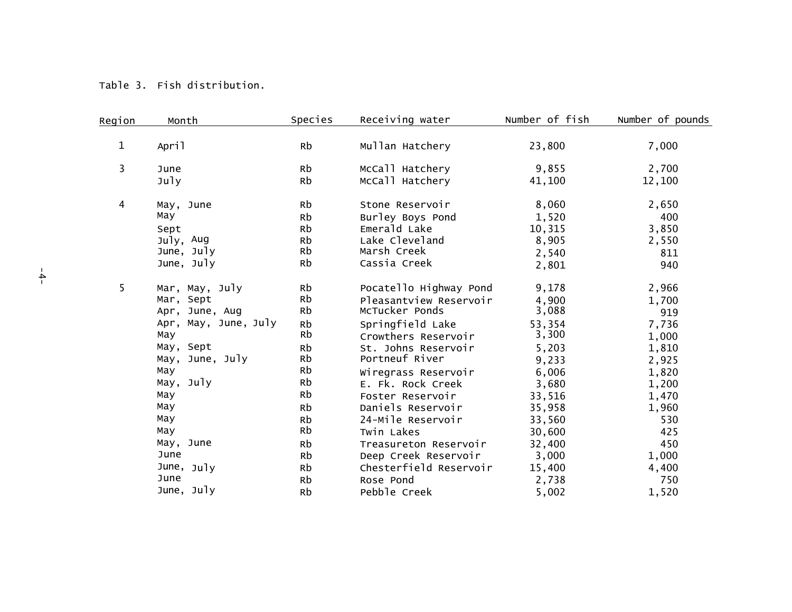| Region       | Month                       | Species  | Receiving water                          | Number of fish  | Number of pounds |
|--------------|-----------------------------|----------|------------------------------------------|-----------------|------------------|
|              |                             |          |                                          |                 |                  |
| $\mathbf{1}$ | April                       | Rb       | Mullan Hatchery                          | 23,800          | 7,000            |
|              |                             |          |                                          |                 |                  |
| 3            | June                        | Rb       | McCall Hatchery                          | 9,855           | 2,700            |
|              | July                        | Rb       | McCall Hatchery                          | 41,100          | 12,100           |
| 4            | May, June                   | Rb       | Stone Reservoir                          | 8,060           | 2,650            |
|              | May                         | Rb       | Burley Boys Pond                         | 1,520           | 400              |
|              | Sept                        | Rb       | Emerald Lake                             | 10,315          | 3,850            |
|              | July, Aug                   | Rb       | Lake Cleveland                           | 8,905           | 2,550            |
|              | June, July                  | Rb       | Marsh Creek                              | 2,540           | 811              |
|              | June, July                  | Rb       | Cassia Creek                             | 2,801           | 940              |
| 5            |                             | Rb       |                                          |                 |                  |
|              | Mar, May, July<br>Mar, Sept | Rb       | Pocatello Highway Pond                   | 9,178           | 2,966            |
|              | Apr, June, Aug              | Rb       | Pleasantview Reservoir<br>McTucker Ponds | 4,900<br>3,088  | 1,700            |
|              | Apr, May, June, July        |          |                                          |                 | 919              |
|              | May                         | Rb<br>Rb | Springfield Lake                         | 53,354<br>3,300 | 7,736            |
|              | May, Sept                   |          | Crowthers Reservoir                      |                 | 1,000            |
|              | May, June, July             | Rb<br>Rb | St. Johns Reservoir<br>Portneuf River    | 5,203           | 1,810            |
|              |                             | Rb       |                                          | 9,233           | 2,925            |
|              | May                         | Rb       | Wiregrass Reservoir                      | 6,006           | 1,820            |
|              | May, July                   |          | E. Fk. Rock Creek                        | 3,680           | 1,200            |
|              | May                         | Rb       | Foster Reservoir                         | 33,516          | 1,470            |
|              | Мау                         | Rb       | Daniels Reservoir                        | 35,958          | 1,960            |
|              | May                         | Rb       | 24-Mile Reservoir                        | 33,560          | 530              |
|              | May                         | Rb       | Twin Lakes                               | 30,600          | 425              |
|              | May, June                   | Rb       | Treasureton Reservoir                    | 32,400          | 450              |
|              | June                        | Rb       | Deep Creek Reservoir                     | 3,000           | 1,000            |
|              | June, July                  | Rb       | Chesterfield Reservoir                   | 15,400          | 4,400            |
|              | June                        | Rb       | Rose Pond                                | 2,738           | 750              |
|              | June, July                  | Rb       | Pebble Creek                             | 5,002           | 1,520            |

Table 3. Fish distribution.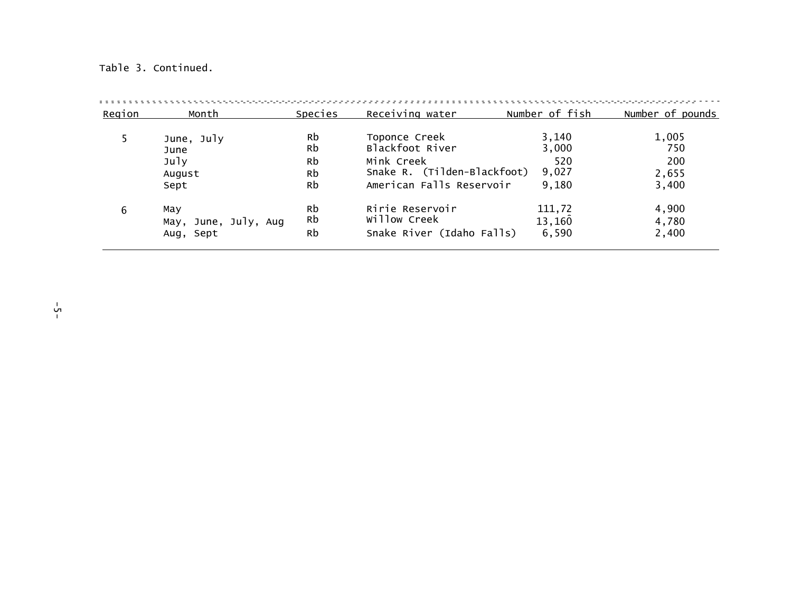# Table 3. Continued.

| Region | Month                | Species | Receiving water             | Number of fish | Number of pounds |
|--------|----------------------|---------|-----------------------------|----------------|------------------|
|        | June, July           | Rb      | Toponce Creek               | 3,140          | 1,005            |
| June   |                      | Rb      | Blackfoot River             | 3,000          | 750              |
|        | July                 | Rb      | Mink Creek                  | 520            | 200              |
| August |                      | Rb      | Snake R. (Tilden-Blackfoot) | 9,027          | 2,655            |
| Sept   |                      | Rb      | American Falls Reservoir    | 9,180          | 3,400            |
| 6      | May                  | Rb      | Ririe Reservoir             | 111,72         | 4,900            |
|        | May, June, July, Aug | Rb      | Willow Creek                | 13,160         | 4,780            |
|        | Aug, Sept            | Rb      | Snake River (Idaho Falls)   | 6,590          | 2,400            |